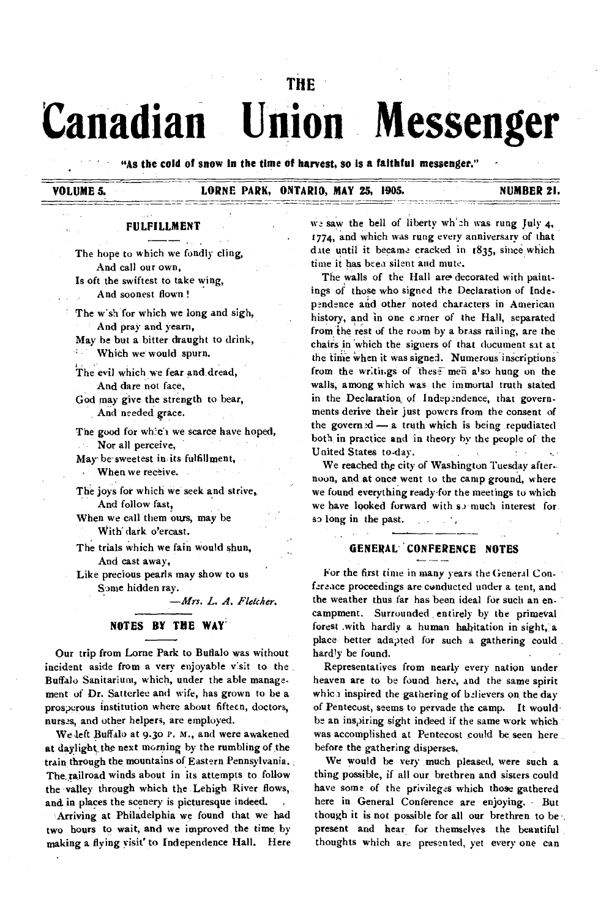# **THE Canadian Union Messenger**

**"As the cold of snow in the time of harvest, so Is a faithful messenger."** 

# **VOLUME 5. LORNE PARK, ONTARIO, MAY 25, 1905. NUMBER 21.**

#### **FULFILLMENT**

**The** hope to which we fondly cling, And call our own, Is oft the swiftest to take wing,

And soonest flown !

The w'sh for which we long and sigh, And pray and yearn,

May be but a bitter draught to drink,

 $\mathbb{E}^{n+1}$ Which we would spurn.

The evil which we fear and dread, And dare not face,

God may give the strength to bear, And needed grace.

The good for which we scarce have hoped, Nor all perceive,

May be sweetest in its fulfillment, When we receive,

The joys for which we seek and strive, And follow fast,

When we call them ours, may be With' dark o'ercast.

The trials which we fain would shun, And cast away,

Like precious pearls may show to us Some hidden ray.

*—Mrs. L. A. Fletcher.* 

## **NOTES BY THE WAY'**

Our trip from Lome Park to Buffalo was without incident aside from a very enjoyable visit to the Buffalo Sanitarium, which, under the able management of Dr. Satterlee and wife, has grown to be a prosperous institution where about fifteen, doctors, nurses, and other helpers, are employed.

We left Buffalo at 9.3o r. M., and were awakened at daylight the next morning by the rumbling of the train through the mountains of Eastern Pennsylvania. The.railroad winds about in its attempts to follow the valley through which the Lehigh River flows, and in places the scenery is picturesque indeed.

Arriving at Philadelphia we found that we had two hours to wait, and we improved the time, by making a flying visit' to Independence Hall. Here we saw the bell of liberty which was rung July 4, 1774, and which was rung every anniversary of that date until it became cracked in 1835, since which time it has been silent and mute.

The walls of the Hall are decorated with paintings of those who signed the Declaration of Independence and other noted characters in American history, and in one corner of the Hall, separated from ihe rest of the room by a brass railing, are the chairs in which the signers of that document sat at the time when it was signed. Numerous inscriptions from the writings of these men also hung on the walls, among which was the immortal truth stated in the Declaration of Independence, that governments derive their just powers from the consent of the governed  $- a$  truth which is being repudiated both in practice and in theory by the people of the United States to-day.

We reached the city of Washington Tuesday afternoon, and at once went to the camp ground, where we found everything ready for the meetings to which we have looked forward with so much interest for so long in the past.  $\sim$ 

## **GENERAC CONFERENCE NOTES**

For the first time in many years the General Confereace proceedings are conducted under a tent, and the weather thus far has been ideal for such an encampment. Surrounded, entirely by the primeval forest .witb hardly a human habitation in sight, a place better adapted for such a gathering could. hardly be found.

Representatives from nearly every nation under heaven are to be found here, and the same spirit which inspired the gathering of believers on the day of Pentecost, seems to pervade the camp. It would be an inspiring sight indeed if the same work which was accomplished at Pentecost could be seen here before the gathering disperses.

We would be very much pleased, were such a thing possible, if all our brethren and sisters could have some of the privileges which those gathered here in General Conference are enjoying. - But though it is not possible for all our brethren to be present and hear for themselves the beautiful thoughts which are presented, yet every one can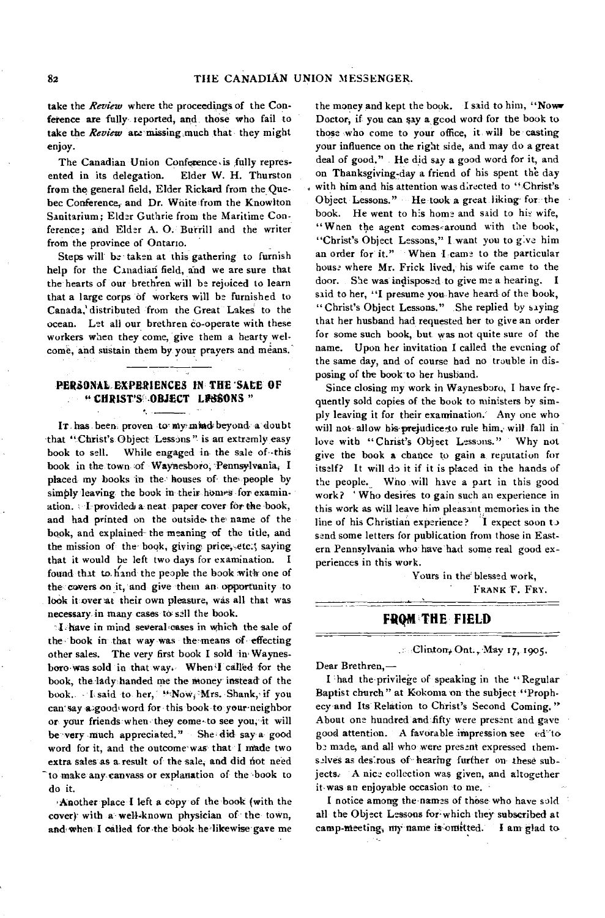take the *Review* where the proceedings of the Conference are fully teported, and those who fail to take the *Review* are missing much that they might enjoy.

The Canadian Union Conference.is fully represented in its delegation. Elder W. H. Thurston from the general field, Elder Rickard from the Quebec Conference, and Dr. Waite from the Knowlton Sanitarium; Elder Guthrie from the Maritime Conference; and Elder A. 0. Burrill and the writer from the province of Ontario.

Steps will be taken at this gathering to furnish help for the Canadian field, and we are sure that the hearts of our brethren will be rejoiced to learn that a large corps of workers will be furnished to Canada,' distributed from the Great Lakes to the ocean. Let all our brethren co-operate with these workers when they come, give them a hearty welcome, and sustain them by your prayers and means.

## **PERSONAL. EXPERIENCES IN THE 'SALE OF " CHRIST'S -OBJECT MINNS "**

 $\sim$ 

IT has been proven to my mind beyond a doubt that "Christ's Object Lessons" is an extremly easy book to sell. While engaged in the sale of -this book in the town of Waynesboro, Pennsylvania, I placed my books in the houses of the. people by simply leaving the book in their homes for examination. I provided a neat paper cover for the book, and had printed on the outside the name of the book, and explained the meaning of the title, and the mission of the book, giving price, etc.; saying that it would be left two days for examination. I found that to liand the people the book with one of the covers on it, and give them an opportunity -to look it over at their own pleasure, was all that was necessary in many cases to sell the book.

I have in mind several cases in which the sale of the' book in-that way was the-means of• effecting other sales. The very first book I sold in• Waynesboro was sold in that way. When<sup>1</sup> called for the book, the lady, handed me the money instead' of the book. I said to her, "Now, Mrs. Shank, if you can'say a good word for this book to your neighbor or your friends when they come to see you, it will be very much appreciated." She did say a good word for it, and the outcome was that I made two extra sales as a result of the sale, and did not need -to make any canvass or explanation of the book to do it.

, Another place I left a copy of the book (with the cover)• with a well-known physician of the town, and when I called for the book he likewise gave me

the money and kept the book. I said to him, "Now Doctor, if you can *say* a good word for the book to those who come to your office, it will be casting your influence on the right side, and may do a great deal of good." He did say a good word for it, and on Thanksgiving-day a friend of his spent the day with him and his attention was directed to "Christ's Object Lessons." He took a great liking- for: the book. He went to his home and said to his wife, "Wnen the agent comes around with the book, "Christ's Object Lessons," I want you to give him an order for it." When I *came* to the particular house where Mr. Frick lived, his wife came to the door. She was indisposed to give me a hearing. I said to her, "I presume you have heard of the book, "Christ's Object Lessons." She replied by saying that her husband had requested her to give an order for some such book, but was not quite sure of the name. Upon her invitation I called the evening of the same day, and of course had no trouble in disposing of the book' to her husband.

Since closing my work in Waynesboro, I have frequently sold copies of the book to ministers by simply leaving it for their examination: Any one who will not allow his prejudice to rule him, will fall in love with "Christ's Object Lessons." Why not give the book **a** chance to gain a reputation for itself? It will do it if it is placed in the hands of the people. Who will have a part in this good work? ' Who desires to gain such an experience in this work as will leave him pleasant memories in the line of his Christian experience? I expect soon to send some letters for publication from those in Eastern Pennsylvania who have had some real good experiences in this work.

> Yours in the blessed work, **FRANK** F. **FRY.**

# **FROM THE FIELD**

Clinton, Ont., May 17, 1905.

Dear Brethren,—

I had the'privilege of speaking in the " Regular Baptist church" at Kokoma on the subject "Prophecy-and Its Relation to Christ's Second Coming." About one hundred and .fifty were present and gave good attention. A favorable impression see ed to be made, and all who were present expressed themselves as desirous of- hearing further on these subjects.' A nice collection was given, and altogether it-was an enjoyable occasion to me.

I notice among the names of those who have sold all the Object Lessons for which they subscribed at camp-meeting, my name is omitted. I am glad to camp-meeting, my name is omitted.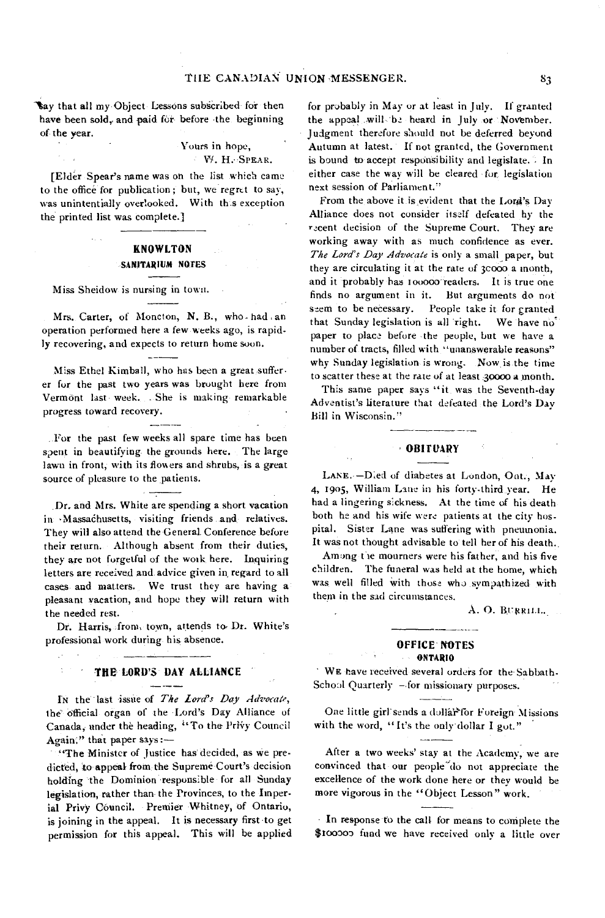'Say that all my Object Lessons subscribed for then have been sold, and paid for before the beginning of the year.

# Yours in hope,

W. H. SPEAR.

[Elder Spear's name was oh the list which came to the office for publication ; but, we regret to say, was unintentially overlooked. With th.s exception the printed list was complete.]

# KNOWLTON **SANITARIUM NOTES**

Miss Sheidow is nursing in town.

Mrs. Carter, of Moncton, N. B., who. had an operation performed here a few weeks ago, is rapidly recovering, and expects to return home soon.

Miss Ethel Kimball, who has been a great sufferer for the past two years was brought here from Vermont last week. She is making remarkable progress toward recovery.

For the past few weeks all spare time has been spent in beautifying the grounds here. The large lawn in front, with its flowers and shrubs, is a great source of pleasure to the patients.

سيدر

Dr. and Mrs. White are spending a short vacation in Massachusetts, visiting friends and relatives. They will also attend the General. Conference before their return. Although absent from their duties, they are not forgetful of the work here. Inquiring letters are received and advice given in regard to all cases and matters. We trust they are having a pleasant vacation, and hope they will return with the needed rest.

Dr. Harris, from, town, attends to, Dr. White's professional work during his absence.

#### THE LORD'S DAY ALLIANCE

In the last issue of *The Lord's Day Advocate*, the official organ of the Lord's Day Alliance of Canada, under the heading, "To the Privy Council Again." that paper says :—

"The Minister of Justice has decided, as we predicted, to appeal from the Supreme Court's decision holding the Dominion responsible for all Sunday legislation, rather than the Provinces, to the Imperial Privy Council. Premier Whitney, of Ontario, is joining in the appeal. It is necessary first to get permission for this appeal. This will be applied for probably in May or at least in July. If granted the appeal will be heard in July or November. Judgment therefore should not be deferred beyond Autumn at latest. If not granted, the Government is bound to accept responsibility and legislate.  $\therefore$  In either case the way will be cleared for legislation next session of Parliament."

From the above it is evident that the Lord's Day Alliance does not consider itself defeated by the recent decision of the Supreme Court. They are working away with as much confidence as ever. *The Lord's Day Advocate* is only a small paper, but they are circulating it at the rate of 3c000 a month, and it probably has 100000 readers. It is true one finds no argument in it. But arguments do not seem to be necessary. People take it for granted that Sunday legislation is all right. We have no' paper to place before -the people, but we have a number of tracts, filled with "unanswerable reasons" why Sunday legislation- is wrong. Now is the time to scatter these at the rate of at least 30000 a month.

This same paper says "it was the Seventh-day Adventist's literature that defeated the Lord's Day Bill in Wisconsin."

## **OBITUARY**

LANE. - Died of diabetes at London, Out., May 4, 1905, William Lane in his forty-third year. He had a lingering sickness. At the time of his death both he and his wife were patients at the city hospital. Sister Lane was suffering with pneumonia. It was not thought advisable to tell her of his death.

Among the mourners were his father, and his five children. The funeral was held at the home, which was well filled with those who sympathized with them in the sad circumstances.

A. O. BURRILL.

#### OFFICE' NOTES **ONTARIO**

WE have received several orders for the' Sabbath. School Quarterly —.for missionary purposes.

One little girl sends a dollar for Foreign-Missions with the word, "It's the only dollar I got."

After a two weeks' stay at the Academy, we are convinced that our people<sup>7</sup>do not appreciate the excellence of the work done here or they would be more vigorous in the "Object Lesson" work.

• In response to the call for means to complete the \$100300 fund we have received only a little over